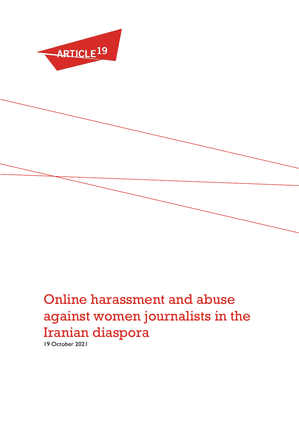

# Online harassment and abuse against women journalists in the Iranian diaspora

19 October 2021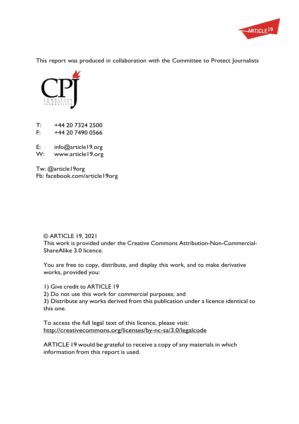

This report was produced in collaboration with the Committee to Protect Journalists



T: +44 20 7324 2500<br>F: +44 20 7490 0566 +44 20 7490 0566

E: [info@article19.org](mailto:info@article19.org)

W: [www.article19.org](http://www.article19.org/)

Tw: @article19org Fb: facebook.com/article19org

© ARTICLE 19, 2021 This work is provided under the Creative Commons Attribution-Non-Commercial-ShareAlike 3.0 licence.

You are free to copy, distribute, and display this work, and to make derivative works, provided you:

1) Give credit to ARTICLE 19

2) Do not use this work for commercial purposes; and

3) Distribute any works derived from this publication under a licence identical to this one.

To access the full legal text of this licence, please visit: <http://creativecommons.org/licenses/by-nc-sa/3.0/legalcode>

ARTICLE 19 would be grateful to receive a copy of any materials in which information from this report is used.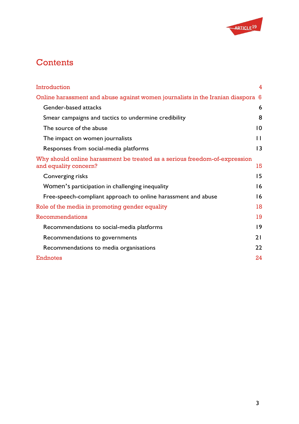

# **Contents**

| Introduction                                                                                        | $\overline{4}$  |
|-----------------------------------------------------------------------------------------------------|-----------------|
| Online harassment and abuse against women journalists in the Iranian diaspora 6                     |                 |
| <b>Gender-based attacks</b>                                                                         | 6               |
| Smear campaigns and tactics to undermine credibility                                                | 8               |
| The source of the abuse                                                                             | 10              |
| The impact on women journalists                                                                     | $\mathbf{1}$    |
| Responses from social-media platforms                                                               | $\overline{13}$ |
| Why should online harassment be treated as a serious freedom-of-expression<br>and equality concern? | 15              |
| Converging risks                                                                                    | 15              |
| Women's participation in challenging inequality                                                     | 16              |
| Free-speech-compliant approach to online harassment and abuse                                       | 16              |
| Role of the media in promoting gender equality                                                      | 18              |
| Recommendations                                                                                     | 19              |
| Recommendations to social-media platforms                                                           | $\overline{19}$ |
| Recommendations to governments                                                                      | 21              |
| Recommendations to media organisations                                                              | 22              |
| <b>Endnotes</b>                                                                                     | 24              |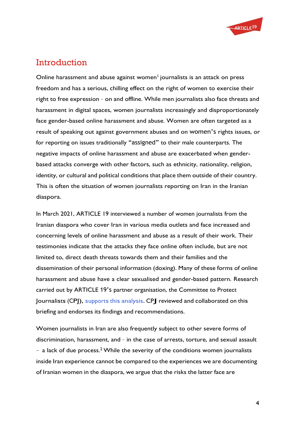

### <span id="page-3-0"></span>**Introduction**

Online harassment and abuse against women<sup>1</sup> journalists is an attack on press freedom and has a serious, chilling effect on the right of women to exercise their right to free expression – on and offline. While men journalists also face threats and harassment in digital spaces, women journalists increasingly and disproportionately face gender-based online harassment and abuse. Women are often targeted as a result of speaking out against government abuses and on women's rights issues, or for reporting on issues traditionally "assigned" to their male counterparts. The negative impacts of online harassment and abuse are exacerbated when genderbased attacks converge with other factors, such as ethnicity, nationality, religion, identity, or cultural and political conditions that place them outside of their country. This is often the situation of women journalists reporting on Iran in the Iranian diaspora.

In March 2021, ARTICLE 19 interviewed a number of women journalists from the Iranian diaspora who cover Iran in various media outlets and face increased and concerning levels of online harassment and abuse as a result of their work. Their testimonies indicate that the attacks they face online often include, but are not limited to, direct death threats towards them and their families and the dissemination of their personal information (doxing). Many of these forms of online harassment and abuse have a clear sexualised and gender-based pattern. Research carried out by ARTICLE 19's partner organisation, the Committee to Protect Journalists (CPJ), supports this analysis. CPJ reviewed and collaborated on this briefing and endorses its findings and recommendations.

Women journalists in Iran are also frequently subject to other severe forms of discrimination, harassment, and – in the case of arrests, torture, and sexual assault  $-$  a lack of due process.<sup>2</sup> While the severity of the conditions women journalists inside Iran experience cannot be compared to the experiences we are documenting of Iranian women in the diaspora, we argue that the risks the latter face are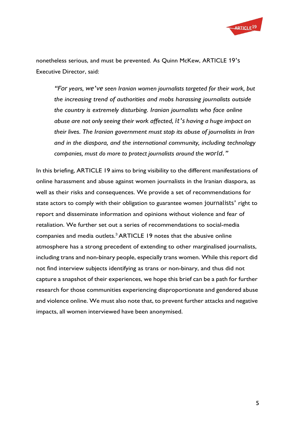

nonetheless serious, and must be prevented. As Quinn McKew, ARTICLE 19's Executive Director, said:

*"For years, we've seen Iranian women journalists targeted for their work, but the increasing trend of authorities and mobs harassing journalists outside the country is extremely disturbing. Iranian journalists who face online abuse are not only seeing their work affected, it's having a huge impact on their lives. The Iranian government must stop its abuse of journalists in Iran and in the diaspora, and the international community, including technology companies, must do more to protect journalists around the world."*

In this briefing, ARTICLE 19 aims to bring visibility to the different manifestations of online harassment and abuse against women journalists in the Iranian diaspora, as well as their risks and consequences. We provide a set of recommendations for state actors to comply with their obligation to guarantee women journalists' right to report and disseminate information and opinions without violence and fear of retaliation. We further set out a series of recommendations to social-media companies and media outlets.3 ARTICLE 19 notes that the abusive online atmosphere has a strong precedent of extending to other marginalised journalists, including trans and non-binary people, especially trans women. While this report did not find interview subjects identifying as trans or non-binary, and thus did not capture a snapshot of their experiences, we hope this brief can be a path for further research for those communities experiencing disproportionate and gendered abuse and violence online. We must also note that, to prevent further attacks and negative impacts, all women interviewed have been anonymised.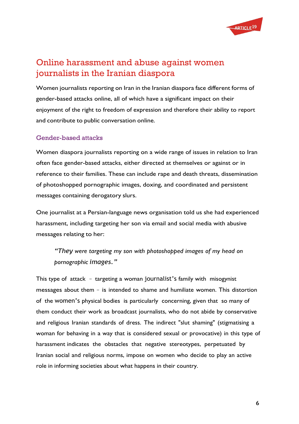

## Online harassment and abuse against women journalists in the Iranian diaspora

Women journalists reporting on Iran in the Iranian diaspora face different forms of gender-based attacks online, all of which have a significant impact on their enjoyment of the right to freedom of expression and therefore their ability to report and contribute to public conversation online.

#### <span id="page-5-0"></span>Gender-based attacks

Women diaspora journalists reporting on a wide range of issues in relation to Iran often face gender-based attacks, either directed at themselves or against or in reference to their families. These can include rape and death threats, dissemination of photoshopped pornographic images, doxing, and coordinated and persistent messages containing derogatory slurs.

One journalist at a Persian-language news organisation told us she had experienced harassment, including targeting her son via email and social media with abusive messages relating to her:

*"They were targeting my son with photoshopped images of my head on pornographic images."*

This type of attack – targeting a woman journalist's family with misogynist messages about them – is intended to shame and humiliate women. This distortion of the women's physical bodies is particularly concerning, given that so many of them conduct their work as broadcast journalists, who do not abide by conservative and religious Iranian standards of dress. The indirect "slut shaming" (stigmatising a woman for behaving in a way that is considered sexual or provocative) in this type of harassment indicates the obstacles that negative stereotypes, perpetuated by Iranian social and religious norms, impose on women who decide to play an active role in informing societies about what happens in their country.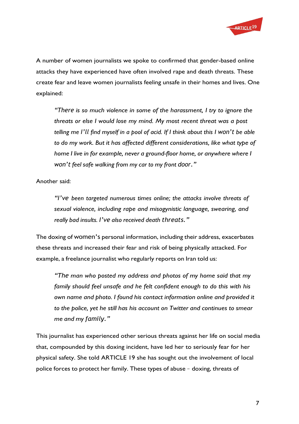

A number of women journalists we spoke to confirmed that gender-based online attacks they have experienced have often involved rape and death threats. These create fear and leave women journalists feeling unsafe in their homes and lives. One explained:

*"There is so much violence in some of the harassment, I try to ignore the threats or else I would lose my mind. My most recent threat was a post telling me I'll find myself in a pool of acid. If I think about this I won't be able to do my work. But it has affected different considerations, like what type of home I live in for example, never a ground-floor home, or anywhere where I won't feel safe walking from my car to my front door."*

Another said:

*"I've been targeted numerous times online; the attacks involve threats of sexual violence, including rape and misogynistic language, swearing, and really bad insults. I've also received death threats."*

The doxing of women's personal information, including their address, exacerbates these threats and increased their fear and risk of being physically attacked. For example, a freelance journalist who regularly reports on Iran told us:

*"The man who posted my address and photos of my home said that my family should feel unsafe and he felt confident enough to do this with his own name and photo. I found his contact information online and provided it to the police, yet he still has his account on Twitter and continues to smear me and my family."*

This journalist has experienced other serious threats against her life on social media that, compounded by this doxing incident, have led her to seriously fear for her physical safety. She told ARTICLE 19 she has sought out the involvement of local police forces to protect her family. These types of abuse – doxing, threats of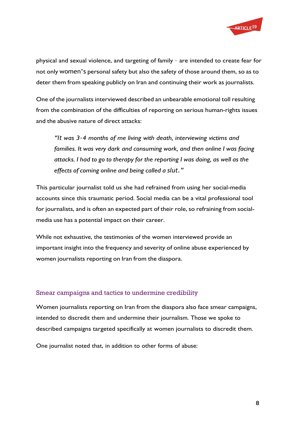

physical and sexual violence, and targeting of family – are intended to create fear for not only women's personal safety but also the safety of those around them, so as to deter them from speaking publicly on Iran and continuing their work as journalists.

One of the journalists interviewed described an unbearable emotional toll resulting from the combination of the difficulties of reporting on serious human-rights issues and the abusive nature of direct attacks:

*"It was 3–4 months of me living with death, interviewing victims and families. It was very dark and consuming work, and then online I was facing attacks. I had to go to therapy for the reporting I was doing, as well as the effects of coming online and being called a slut."*

This particular journalist told us she had refrained from using her social-media accounts since this traumatic period. Social media can be a vital professional tool for journalists, and is often an expected part of their role, so refraining from socialmedia use has a potential impact on their career.

While not exhaustive, the testimonies of the women interviewed provide an important insight into the frequency and severity of online abuse experienced by women journalists reporting on Iran from the diaspora.

#### <span id="page-7-0"></span>Smear campaigns and tactics to undermine credibility

Women journalists reporting on Iran from the diaspora also face smear campaigns, intended to discredit them and undermine their journalism. Those we spoke to described campaigns targeted specifically at women journalists to discredit them.

One journalist noted that, in addition to other forms of abuse: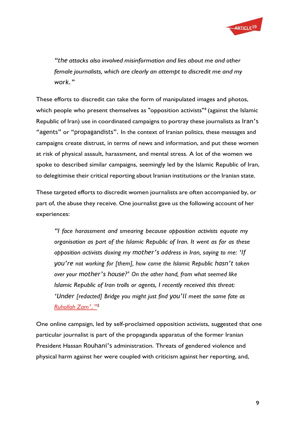

*"the attacks also involved misinformation and lies about me and other female journalists, which are clearly an attempt to discredit me and my work."*

These efforts to discredit can take the form of manipulated images and photos, which people who present themselves as "opposition activists"<sup>4</sup> (against the Islamic Republic of Iran) use in coordinated campaigns to portray these journalists as Iran's "agents" or "propagandists". In the context of Iranian politics, these messages and campaigns create distrust, in terms of news and information, and put these women at risk of physical assault, harassment, and mental stress. A lot of the women we spoke to described similar campaigns, seemingly led by the Islamic Republic of Iran, to delegitimise their critical reporting about Iranian institutions or the Iranian state.

These targeted efforts to discredit women journalists are often accompanied by, or part of, the abuse they receive. One journalist gave us the following account of her experiences:

*"I face harassment and smearing because opposition activists equate my organisation as part of the Islamic Republic of Iran. It went as far as these opposition activists doxing my mother's address in Iran, saying to me: 'If you're not working for [them], how come the Islamic Republic hasn't taken over your mother's house?' On the other hand, from what seemed like Islamic Republic of Iran trolls or agents, I recently received this threat: 'Under [redacted] Bridge you might just find you'll meet the same fate as [Ruhollah](https://cpj.org/2020/12/cpj-condemns-irans-execution-of-journalist-roohollah-zam/) Zam'."<sup>5</sup>*

One online campaign, led by self-proclaimed opposition activists, suggested that one particular journalist is part of the propaganda apparatus of the former Iranian President Hassan Rouhani's administration. Threats of gendered violence and physical harm against her were coupled with criticism against her reporting, and,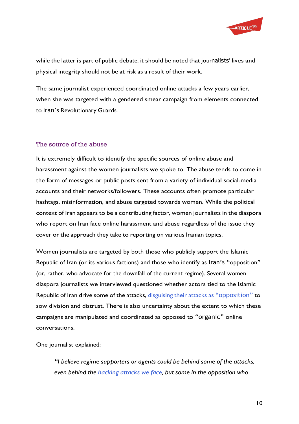

while the latter is part of public debate, it should be noted that journalists' lives and physical integrity should not be at risk as a result of their work.

The same journalist experienced coordinated online attacks a few years earlier, when she was targeted with a gendered smear campaign from elements connected to Iran's Revolutionary Guards.

#### <span id="page-9-0"></span>The source of the abuse

It is extremely difficult to identify the specific sources of online abuse and harassment against the women journalists we spoke to. The abuse tends to come in the form of messages or public posts sent from a variety of individual social-media accounts and their networks/followers. These accounts often promote particular hashtags, misinformation, and abuse targeted towards women. While the political context of Iran appears to be a contributing factor, women journalists in the diaspora who report on Iran face online harassment and abuse regardless of the issue they cover or the approach they take to reporting on various Iranian topics.

Women journalists are targeted by both those who publicly support the Islamic Republic of Iran (or its various factions) and those who identify as Iran's "opposition" (or, rather, who advocate for the downfall of the current regime). Several women diaspora journalists we interviewed questioned whether actors tied to the Islamic Republic of Iran drive some of the attacks, disguising their attacks as ["opposition"](https://twitter.com/HadiNili/status/1369665372580962305?s=20) to sow division and distrust. There is also uncertainty about the extent to which these campaigns are manipulated and coordinated as opposed to "organic" online conversations.

One journalist explained:

*"I believe regime supporters or agents could be behind some of the attacks, even behind the [hacking](https://carnegieendowment.org/2018/01/04/iran-s-internal-targets-pub-75142) attacks we face, but some in the opposition who*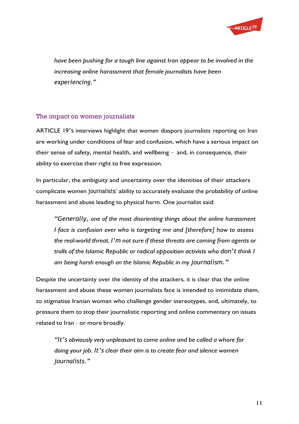

*have been pushing for a tough line against Iran appear to be involved in the increasing online harassment that female journalists have been experiencing."*

#### <span id="page-10-0"></span>The impact on women journalists

ARTICLE 19's interviews highlight that women diaspora journalists reporting on Iran are working under conditions of fear and confusion, which have a serious impact on their sense of safety, mental health, and wellbeing – and, in consequence, their ability to exercise their right to free expression.

In particular, the ambiguity and uncertainty over the identities of their attackers complicate women journalists' ability to accurately evaluate the probability of online harassment and abuse leading to physical harm. One journalist said:

*"Generally, one of the most disorienting things about the online harassment I face is confusion over who is targeting me and [therefore] how to assess the real-world threat. I'm not sure if these threats are coming from agents or trolls of the Islamic Republic or radical opposition activists who don't think I am being harsh enough on the Islamic Republic in my journalism."*

Despite the uncertainty over the identity of the attackers, it is clear that the online harassment and abuse these women journalists face is intended to intimidate them, to stigmatise Iranian woman who challenge gender stereotypes, and, ultimately, to pressure them to stop their journalistic reporting and online commentary on issues related to Iran – or more broadly.

*"It's obviously very unpleasant to come online and be called a whore for doing your job. It's clear their aim is to create fear and silence women journalists."*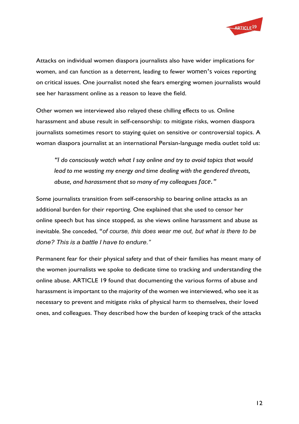

Attacks on individual women diaspora journalists also have wider implications for women, and can function as a deterrent, leading to fewer women's voices reporting on critical issues. One journalist noted she fears emerging women journalists would see her harassment online as a reason to leave the field.

Other women we interviewed also relayed these chilling effects to us. Online harassment and abuse result in self-censorship: to mitigate risks, women diaspora journalists sometimes resort to staying quiet on sensitive or controversial topics. A woman diaspora journalist at an international Persian-language media outlet told us:

*"I do consciously watch what I say online and try to avoid topics that would lead to me wasting my energy and time dealing with the gendered threats, abuse, and harassment that so many of my colleagues face."*

Some journalists transition from self-censorship to bearing online attacks as an additional burden for their reporting. One explained that she used to censor her online speech but has since stopped, as she views online harassment and abuse as inevitable. She conceded, "*of course, this does wear me out, but what is there to be done? This is a battle I have to endure."*

Permanent fear for their physical safety and that of their families has meant many of the women journalists we spoke to dedicate time to tracking and understanding the online abuse. ARTICLE 19 found that documenting the various forms of abuse and harassment is important to the majority of the women we interviewed, who see it as necessary to prevent and mitigate risks of physical harm to themselves, their loved ones, and colleagues. They described how the burden of keeping track of the attacks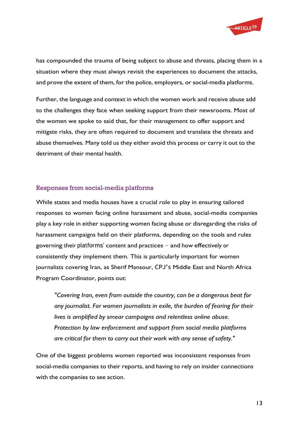

has compounded the trauma of being subject to abuse and threats, placing them in a situation where they must always revisit the experiences to document the attacks, and prove the extent of them, for the police, employers, or social-media platforms.

Further, the language and context in which the women work and receive abuse add to the challenges they face when seeking support from their newsrooms. Most of the women we spoke to said that, for their management to offer support and mitigate risks, they are often required to document and translate the threats and abuse themselves. Many told us they either avoid this process or carry it out to the detriment of their mental health.

#### <span id="page-12-0"></span>Responses from social-media platforms

While states and media houses have a crucial role to play in ensuring tailored responses to women facing online harassment and abuse, social-media companies play a key role in either supporting women facing abuse or disregarding the risks of harassment campaigns held on their platforms, depending on the tools and rules governing their platforms' content and practices – and how effectively or consistently they implement them. This is particularly important for women journalists covering Iran, as Sherif Mansour, CPJ's Middle East and North Africa Program Coordinator, points out:

*"Covering Iran, even from outside the country, can be a dangerous beat for any journalist. For women journalists in exile, the burden of fearing for their lives is amplified by smear campaigns and relentless online abuse. Protection by law enforcement and support from social media platforms are critical for them to carry out their work with any sense of safety."*

One of the biggest problems women reported was inconsistent responses from social-media companies to their reports, and having to rely on insider connections with the companies to see action.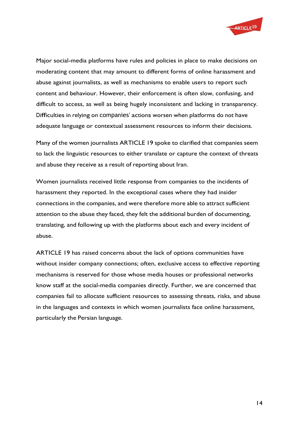

Major social-media platforms have rules and policies in place to make decisions on moderating content that may amount to different forms of online harassment and abuse against journalists, as well as mechanisms to enable users to report such content and behaviour. However, their enforcement is often slow, confusing, and difficult to access, as well as being hugely inconsistent and lacking in transparency. Difficulties in relying on companies' actions worsen when platforms do not have adequate language or contextual assessment resources to inform their decisions.

Many of the women journalists ARTICLE 19 spoke to clarified that companies seem to lack the linguistic resources to either translate or capture the context of threats and abuse they receive as a result of reporting about Iran.

Women journalists received little response from companies to the incidents of harassment they reported. In the exceptional cases where they had insider connections in the companies, and were therefore more able to attract sufficient attention to the abuse they faced, they felt the additional burden of documenting, translating, and following up with the platforms about each and every incident of abuse.

ARTICLE 19 has raised concerns about the lack of options communities have without insider company connections; often, exclusive access to effective reporting mechanisms is reserved for those whose media houses or professional networks know staff at the social-media companies directly. Further, we are concerned that companies fail to allocate sufficient resources to assessing threats, risks, and abuse in the languages and contexts in which women journalists face online harassment, particularly the Persian language.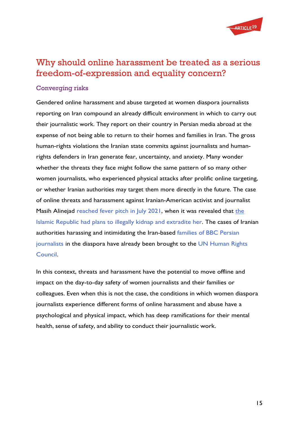

# <span id="page-14-0"></span>Why should online harassment be treated as a serious freedom-of-expression and equality concern?

#### <span id="page-14-1"></span>Converging risks

Gendered online harassment and abuse targeted at women diaspora journalists reporting on Iran compound an already difficult environment in which to carry out their journalistic work. They report on their country in Persian media abroad at the expense of not being able to return to their homes and families in Iran. The gross human-rights violations the Iranian state commits against journalists and humanrights defenders in Iran generate fear, uncertainty, and anxiety. Many wonder whether the threats they face might follow the same pattern of so many other women journalists, who experienced physical attacks after prolific online targeting, or whether Iranian authorities may target them more directly in the future. The case of online threats and harassment against Iranian-American activist and journalist Masih Alinejad [reached fever pitch in July 2021, w](https://www.article19.org/resources/iran-foiled-plot-to-kidnap-activist-a-sign-of-increasingly-brazen-transnational-repression/)hen it was revealed that the [Islamic Republic had plans to illegally kidnap and extradite her.](https://cpj.org/2021/07/us-indicts-5-iranian-nationals-over-attempted-kidnapping-of-us-based-journalist-masih-alinejad/) The cases of Iranian authorities harassing and intimidating the Iran-based [families of BBC Persian](https://cpj.org/2012/02/iran-detains-harasses-relatives-of-bbc-persian-ser/) [journalists i](https://cpj.org/2012/02/iran-detains-harasses-relatives-of-bbc-persian-ser/)n the diaspora have already been brought to the [UN Human Rights](https://www.bbc.co.uk/mediacentre/latestnews/2020/un-special-rapporteurs-bbc-persian-staff) [Council.](https://www.bbc.co.uk/mediacentre/latestnews/2020/un-special-rapporteurs-bbc-persian-staff)

In this context, threats and harassment have the potential to move offline and impact on the day-to-day safety of women journalists and their families or colleagues. Even when this is not the case, the conditions in which women diaspora journalists experience different forms of online harassment and abuse have a psychological and physical impact, which has deep ramifications for their mental health, sense of safety, and ability to conduct their journalistic work.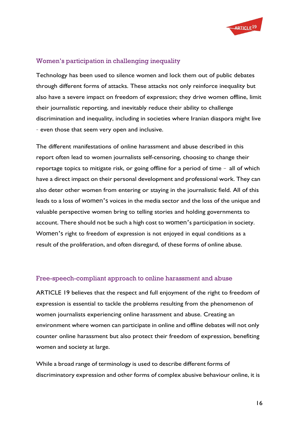

#### <span id="page-15-0"></span>Women's participation in challenging inequality

Technology has been used to silence women and lock them out of public debates through different forms of attacks. These attacks not only reinforce inequality but also have a severe impact on freedom of expression; they drive women offline, limit their journalistic reporting, and inevitably reduce their ability to challenge discrimination and inequality, including in societies where Iranian diaspora might live – even those that seem very open and inclusive.

The different manifestations of online harassment and abuse described in this report often lead to women journalists self-censoring, choosing to change their reportage topics to mitigate risk, or going offline for a period of time – all of which have a direct impact on their personal development and professional work. They can also deter other women from entering or staying in the journalistic field. All of this leads to a loss of women's voices in the media sector and the loss of the unique and valuable perspective women bring to telling stories and holding governments to account. There should not be such a high cost to women's participation in society. Women's right to freedom of expression is not enjoyed in equal conditions as a result of the proliferation, and often disregard, of these forms of online abuse.

#### <span id="page-15-1"></span>Free-speech-compliant approach to online harassment and abuse

ARTICLE 19 believes that the respect and full enjoyment of the right to freedom of expression is essential to tackle the problems resulting from the phenomenon of women journalists experiencing online harassment and abuse. Creating an environment where women can participate in online and offline debates will not only counter online harassment but also protect their freedom of expression, benefiting women and society at large.

While a broad range of terminology is used to describe different forms of discriminatory expression and other forms of complex abusive behaviour online, it is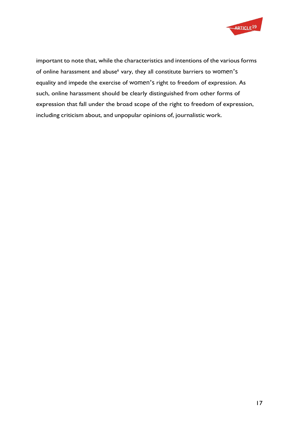

important to note that, while the characteristics and intentions of the various forms of online harassment and abuse<sup>6</sup> vary, they all constitute barriers to women's equality and impede the exercise of women's right to freedom of expression. As such, online harassment should be clearly distinguished from other forms of expression that fall under the broad scope of the right to freedom of expression, including criticism about, and unpopular opinions of, journalistic work.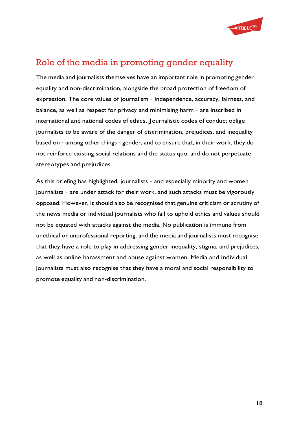

# <span id="page-17-0"></span>Role of the media in promoting gender equality

The media and journalists themselves have an important role in promoting gender equality and non-discrimination, alongside the broad protection of freedom of expression. The core values of journalism – independence, accuracy, fairness, and balance, as well as respect for privacy and minimising harm – are inscribed in international and national codes of ethics. Journalistic codes of conduct oblige journalists to be aware of the danger of discrimination, prejudices, and inequality based on – among other things – gender, and to ensure that, in their work, they do not reinforce existing social relations and the status quo, and do not perpetuate stereotypes and prejudices.

As this briefing has highlighted, journalists – and especially minority and women journalists – are under attack for their work, and such attacks must be vigorously opposed. However, it should also be recognised that genuine criticism or scrutiny of the news media or individual journalists who fail to uphold ethics and values should not be equated with attacks against the media. No publication is immune from unethical or unprofessional reporting, and the media and journalists must recognise that they have a role to play in addressing gender inequality, stigma, and prejudices, as well as online harassment and abuse against women. Media and individual journalists must also recognise that they have a moral and social responsibility to promote equality and non-discrimination.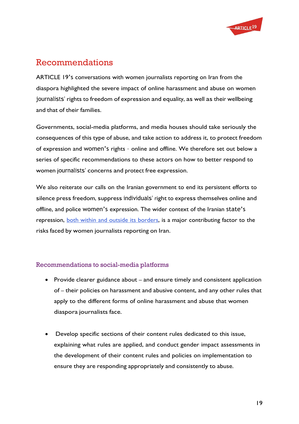

# <span id="page-18-0"></span>Recommendations

ARTICLE 19's conversations with women journalists reporting on Iran from the diaspora highlighted the severe impact of online harassment and abuse on women journalists' rights to freedom of expression and equality, as well as their wellbeing and that of their families.

Governments, social-media platforms, and media houses should take seriously the consequences of this type of abuse, and take action to address it, to protect freedom of expression and women's rights – online and offline. We therefore set out below a series of specific recommendations to these actors on how to better respond to women journalists' concerns and protect free expression.

We also reiterate our calls on the Iranian government to end its persistent efforts to silence press freedom, suppress individuals' right to express themselves online and offline, and police women's expression. The wider context of the Iranian state's repression, both within and outside its [borders,](https://www.article19.org/resources/iran-foiled-plot-to-kidnap-activist-a-sign-of-increasingly-brazen-transnational-repression/) is a major contributing factor to the risks faced by women journalists reporting on Iran.

#### <span id="page-18-1"></span>Recommendations to social-media platforms

- Provide clearer guidance about and ensure timely and consistent application of – their policies on harassment and abusive content, and any other rules that apply to the different forms of online harassment and abuse that women diaspora journalists face.
- Develop specific sections of their content rules dedicated to this issue, explaining what rules are applied, and conduct gender impact assessments in the development of their content rules and policies on implementation to ensure they are responding appropriately and consistently to abuse.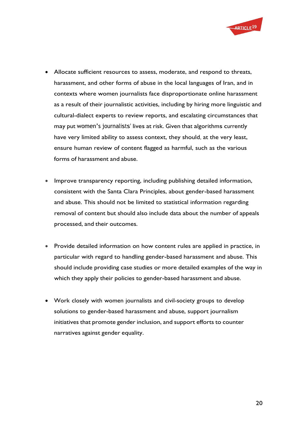

- Allocate sufficient resources to assess, moderate, and respond to threats, harassment, and other forms of abuse in the local languages of Iran, and in contexts where women journalists face disproportionate online harassment as a result of their journalistic activities, including by hiring more linguistic and cultural-dialect experts to review reports, and escalating circumstances that may put women's journalists' lives at risk. Given that algorithms currently have very limited ability to assess context, they should, at the very least, ensure human review of content flagged as harmful, such as the various forms of harassment and abuse.
- Improve transparency reporting, including publishing detailed information, consistent with the Santa Clara Principles, about gender-based harassment and abuse. This should not be limited to statistical information regarding removal of content but should also include data about the number of appeals processed, and their outcomes.
- Provide detailed information on how content rules are applied in practice, in particular with regard to handling gender-based harassment and abuse. This should include providing case studies or more detailed examples of the way in which they apply their policies to gender-based harassment and abuse.
- Work closely with women journalists and civil-society groups to develop solutions to gender-based harassment and abuse, support journalism initiatives that promote gender inclusion, and support efforts to counter narratives against gender equality.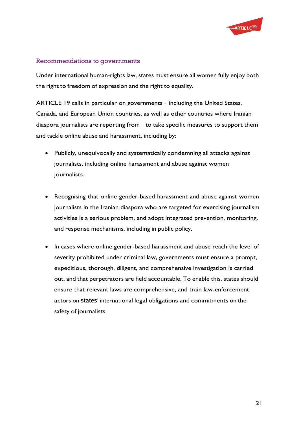

#### <span id="page-20-0"></span>Recommendations to governments

Under international human-rights law, states must ensure all women fully enjoy both the right to freedom of expression and the right to equality.

ARTICLE 19 calls in particular on governments – including the United States, Canada, and European Union countries, as well as other countries where Iranian diaspora journalists are reporting from – to take specific measures to support them and tackle online abuse and harassment, including by:

- Publicly, unequivocally and systematically condemning all attacks against journalists, including online harassment and abuse against women journalists.
- Recognising that online gender-based harassment and abuse against women journalists in the Iranian diaspora who are targeted for exercising journalism activities is a serious problem, and adopt integrated prevention, monitoring, and response mechanisms, including in public policy.
- In cases where online gender-based harassment and abuse reach the level of severity prohibited under criminal law, governments must ensure a prompt, expeditious, thorough, diligent, and comprehensive investigation is carried out, and that perpetrators are held accountable. To enable this, states should ensure that relevant laws are comprehensive, and train law-enforcement actors on states' international legal obligations and commitments on the safety of journalists.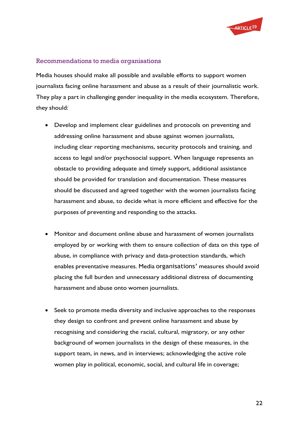

#### <span id="page-21-0"></span>Recommendations to media organisations

Media houses should make all possible and available efforts to support women journalists facing online harassment and abuse as a result of their journalistic work. They play a part in challenging gender inequality in the media ecosystem. Therefore, they should:

- Develop and implement clear guidelines and protocols on preventing and addressing online harassment and abuse against women journalists, including clear reporting mechanisms, security protocols and training, and access to legal and/or psychosocial support. When language represents an obstacle to providing adequate and timely support, additional assistance should be provided for translation and documentation. These measures should be discussed and agreed together with the women journalists facing harassment and abuse, to decide what is more efficient and effective for the purposes of preventing and responding to the attacks.
- Monitor and document online abuse and harassment of women journalists employed by or working with them to ensure collection of data on this type of abuse, in compliance with privacy and data-protection standards, which enables preventative measures. Media organisations' measures should avoid placing the full burden and unnecessary additional distress of documenting harassment and abuse onto women journalists.
- Seek to promote media diversity and inclusive approaches to the responses they design to confront and prevent online harassment and abuse by recognising and considering the racial, cultural, migratory, or any other background of women journalists in the design of these measures, in the support team, in news, and in interviews; acknowledging the active role women play in political, economic, social, and cultural life in coverage;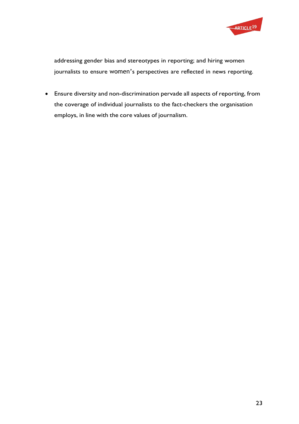

addressing gender bias and stereotypes in reporting; and hiring women journalists to ensure women's perspectives are reflected in news reporting.

• Ensure diversity and non-discrimination pervade all aspects of reporting, from the coverage of individual journalists to the fact-checkers the organisation employs, in line with the core values of journalism.